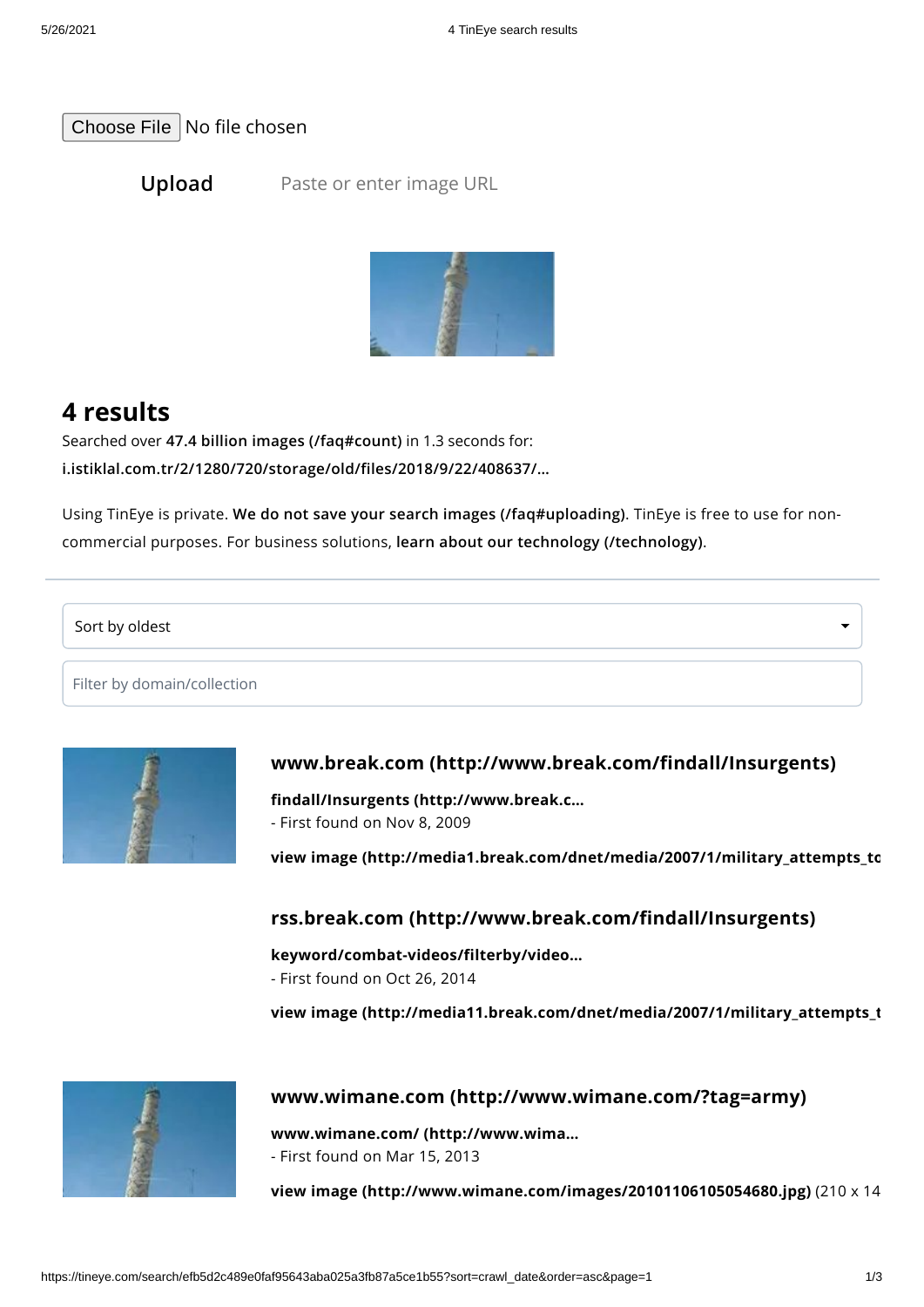[Choose](https://tineye.com/) File No file chosen

**Upload** Paste or enter image URL



# **4 results**

Searched over **47.4 billion images [\(/faq#count\)](https://tineye.com/faq#count)** in 1.3 seconds for: **[i.istiklal.com.tr/2/1280/720/storage/old/files/2018/9/22/408637/…](https://i.istiklal.com.tr/2/1280/720/storage/old/files/2018/9/22/408637/408637.jpg)**

Using TinEye is private. **We do not save your search images [\(/faq#uploading\)](https://tineye.com/faq#uploading)**. TinEye is free to use for noncommercial purposes. For business solutions, **learn about our technology [\(/technology\)](https://tineye.com/technology)**.

Sort by oldest

Filter by domain/collection



## **www.break.com [\(http://www.break.com/findall/Insurgents\)](http://www.break.com/findall/Insurgents)**

**findall/Insurgents [\(http://www.break.c…](http://www.break.com/findall/Insurgents)** - First found on Nov 8, 2009

**view image [\(http://media1.break.com/dnet/media/2007/1/military\\_attempts\\_to](http://media1.break.com/dnet/media/2007/1/military_attempts_to_find_insurgents_in_tower.jpg)**

#### **rss.break.com [\(http://www.break.com/findall/Insurgents\)](http://www.break.com/findall/Insurgents)**

**[keyword/combat-videos/filterby/video…](http://rss.break.com/keyword/combat-videos/filterby/videos/)**

- First found on Oct 26, 2014

**view image [\(http://media11.break.com/dnet/media/2007/1/military\\_attempts\\_t](http://media11.break.com/dnet/media/2007/1/military_attempts_to_find_insurgents_in_tower.jpg)**



#### **www.wimane.com [\(http://www.wimane.com/?tag=army\)](http://www.wimane.com/?tag=army)**

**www.wimane.com/ [\(http://www.wima…](http://www.wimane.com/?tag=army)** - First found on Mar 15, 2013

**view image [\(http://www.wimane.com/images/20101106105054680.jpg\)](http://www.wimane.com/images/20101106105054680.jpg)** (210 x 14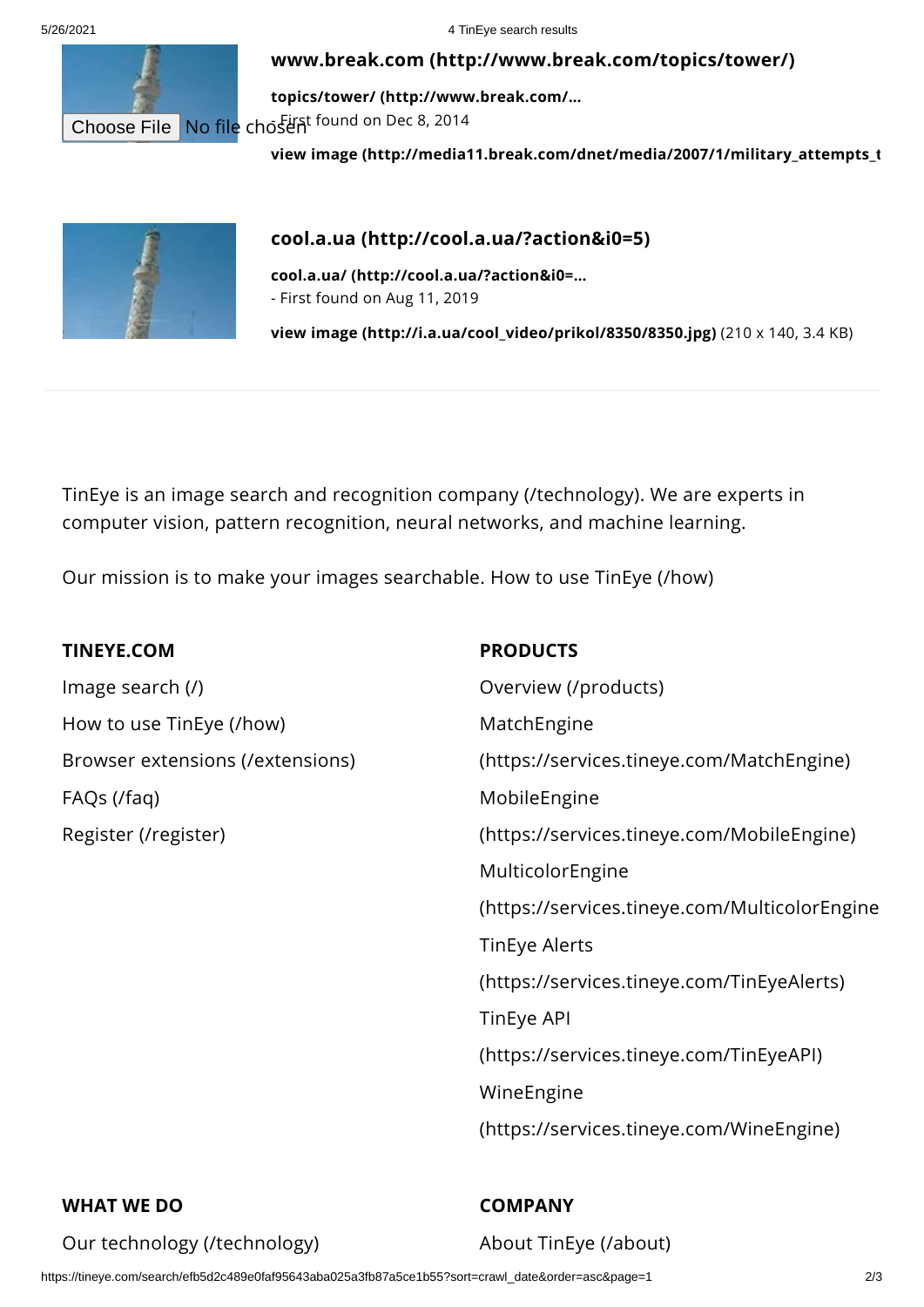5/26/2021 4 TinEye search results

#### **www.break.com [\(http://www.break.com/topics/tower/\)](http://www.break.com/topics/tower/)**

**topics/tower/ [\(http://www.break.com/…](http://www.break.com/topics/tower/)** Choose File No file chosent found on Dec 8, 2014

**view image [\(http://media11.break.com/dnet/media/2007/1/military\\_attempts\\_t](http://media11.break.com/dnet/media/2007/1/military_attempts_to_find_insurgents_in_tower_560x315.jpg)**



## **cool.a.ua [\(http://cool.a.ua/?action&i0=5\)](http://cool.a.ua/?action&i0=5)**

**cool.a.ua/ [\(http://cool.a.ua/?action&i0=…](http://cool.a.ua/?action&i0=5)** - First found on Aug 11, 2019

**view image [\(http://i.a.ua/cool\\_video/prikol/8350/8350.jpg\)](http://i.a.ua/cool_video/prikol/8350/8350.jpg)** (210 x 140, 3.4 KB)

TinEye is an image search and recognition company [\(/technology\)](https://tineye.com/technology). We are experts in computer vision, pattern recognition, neural networks, and machine learning.

Our mission is to make your images searchable. How to use [TinEye](https://tineye.com/how) (/how)

### **TINEYE.COM**

Image [search](https://tineye.com/) (/) How to use [TinEye](https://tineye.com/how) (/how) Browser extensions [\(/extensions\)](https://tineye.com/extensions) FAQs [\(/faq\)](https://tineye.com/faq) Register [\(/register\)](https://tineye.com/register)

#### **PRODUCTS**

Overview [\(/products\)](https://tineye.com/products) MatchEngine [\(https://services.tineye.com/MatchEngine\)](https://services.tineye.com/MatchEngine) MobileEngine [\(https://services.tineye.com/MobileEngine\)](https://services.tineye.com/MobileEngine) MulticolorEngine [\(https://services.tineye.com/MulticolorEngine](https://services.tineye.com/MulticolorEngine) TinEye Alerts [\(https://services.tineye.com/TinEyeAlerts\)](https://services.tineye.com/TinEyeAlerts) TinEye API [\(https://services.tineye.com/TinEyeAPI\)](https://services.tineye.com/TinEyeAPI) WineEngine [\(https://services.tineye.com/WineEngine\)](https://services.tineye.com/WineEngine)

## **WHAT WE DO**

Our technology [\(/technology\)](https://tineye.com/technology)

**COMPANY**

About TinEye [\(/about\)](https://tineye.com/about)